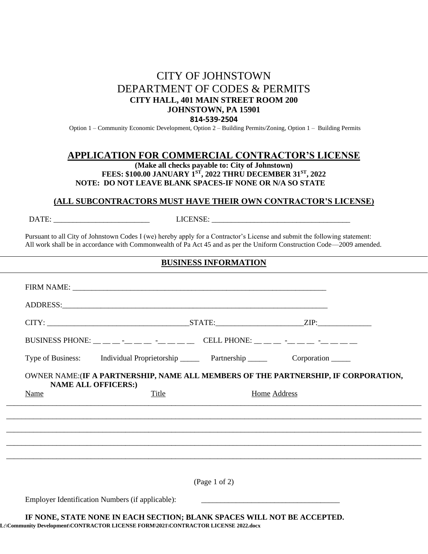# CITY OF JOHNSTOWN DEPARTMENT OF CODES & PERMITS **CITY HALL, 401 MAIN STREET ROOM 200 JOHNSTOWN, PA 15901 814-539-2504**

Option 1 – Community Economic Development, Option 2 – Building Permits/Zoning, Option 1 – Building Permits

## **APPLICATION FOR COMMERCIAL CONTRACTOR'S LICENSE**

**(Make all checks payable to: City of Johnstown) FEES: \$100.00 JANUARY 1ST, 2022 THRU DECEMBER 31ST , 2022 NOTE: DO NOT LEAVE BLANK SPACES-IF NONE OR N/A SO STATE**

#### **(ALL SUBCONTRACTORS MUST HAVE THEIR OWN CONTRACTOR'S LICENSE)**

DATE: \_\_\_\_\_\_\_\_\_\_\_\_\_\_\_\_\_\_\_\_\_\_\_\_\_ LICENSE: \_\_\_\_\_\_\_\_\_\_\_\_\_\_\_\_\_\_\_\_\_\_\_\_\_\_\_\_\_\_\_\_\_\_\_\_

 Pursuant to all City of Johnstown Codes I (we) hereby apply for a Contractor's License and submit the following statement: All work shall be in accordance with Commonwealth of Pa Act 45 and as per the Uniform Construction Code—2009 amended.

#### **BUSINESS INFORMATION**

|                            | BUSINESS PHONE: _ _ _ _ _ _ _ _ _ _ _ _ _ CELL PHONE: _ _ _ _ _ _ _ _ _ _ _ _ _ |               |                                                                                     |
|----------------------------|---------------------------------------------------------------------------------|---------------|-------------------------------------------------------------------------------------|
|                            | Type of Business: Individual Proprietorship Partnership Corporation ____        |               |                                                                                     |
| <b>NAME ALL OFFICERS:)</b> |                                                                                 |               | OWNER NAME: (IF A PARTNERSHIP, NAME ALL MEMBERS OF THE PARTNERSHIP, IF CORPORATION, |
| Name                       | Title                                                                           |               | <b>Home Address</b>                                                                 |
|                            |                                                                                 |               |                                                                                     |
|                            |                                                                                 | (Page 1 of 2) |                                                                                     |